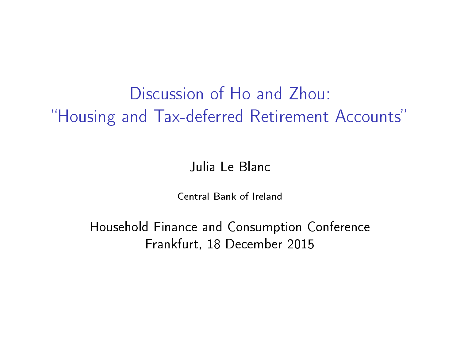# Discussion of Ho and Zhou: "Housing and Tax-deferred Retirement Accounts"

#### Julia Le Blanc

Central Bank of Ireland

Household Finance and Consumption Conference Frankfurt, 18 December 2015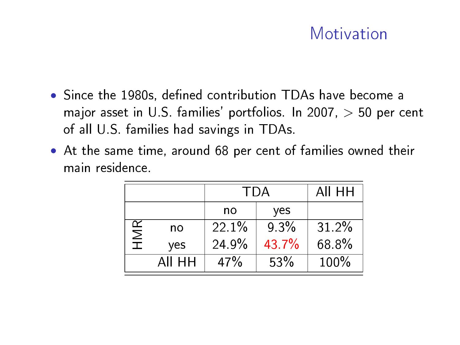### Motivation

- $\bullet$  Since the 1980s, defined contribution TDAs have become a major asset in U.S. families' portfolios. In 2007,  $>$  50 per cent of all U.S. families had savings in TDAs.
- At the same time, around 68 per cent of families owned their main residence.

|     |        | <b>TDA</b> |         | AII HH   |
|-----|--------|------------|---------|----------|
|     |        | no         | yes     |          |
| HMR | no     | $221\%$    | $9.3\%$ | $31.2\%$ |
|     | yes    | 24.9%      | 43.7%   | 68 8%    |
|     | AII HH | 47%        | 53%     | 100%     |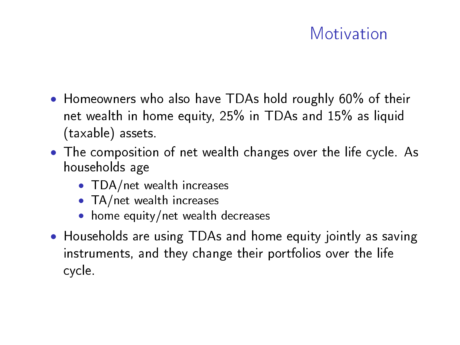### Motivation

- Homeowners who also have TDAs hold roughly 60% of their net wealth in home equity, 25% in TDAs and 15% as liquid (taxable) assets.
- The composition of net wealth changes over the life cycle. As households age
	- TDA/net wealth increases
	- TA/net wealth increases
	- home equity/net wealth decreases
- Households are using TDAs and home equity jointly as saving instruments, and they change their portfolios over the life cycle.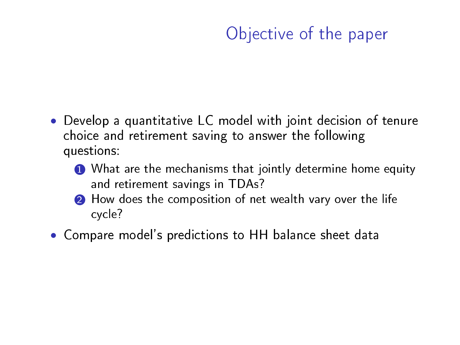### Objective of the paper

- Develop a quantitative LC model with joint decision of tenure choice and retirement saving to answer the following questions:
	- **1** What are the mechanisms that jointly determine home equity and retirement savings in TDAs?
	- **2** How does the composition of net wealth vary over the life cycle?
- Compare model's predictions to HH balance sheet data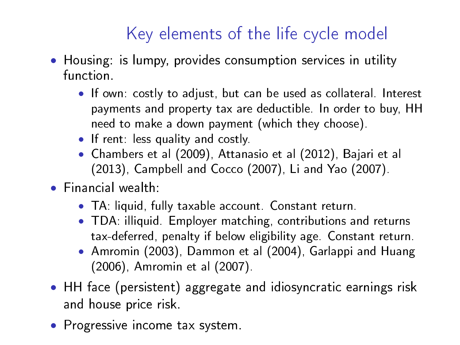# Key elements of the life cycle model

- Housing: is lumpy, provides consumption services in utility function.
	- If own: costly to adjust, but can be used as collateral. Interest payments and property tax are deductible. In order to buy, HH need to make a down payment (which they choose).
	- If rent: less quality and costly.
	- Chambers et al (2009), Attanasio et al (2012), Bajari et al (2013), Campbell and Cocco (2007), Li and Yao (2007).
- Financial wealth:
	- TA: liquid, fully taxable account. Constant return.
	- TDA: illiquid. Employer matching, contributions and returns tax-deferred, penalty if below eligibility age. Constant return.
	- Amromin (2003), Dammon et al (2004), Garlappi and Huang (2006), Amromin et al (2007).
- HH face (persistent) aggregate and idiosyncratic earnings risk and house price risk.
- Progressive income tax system.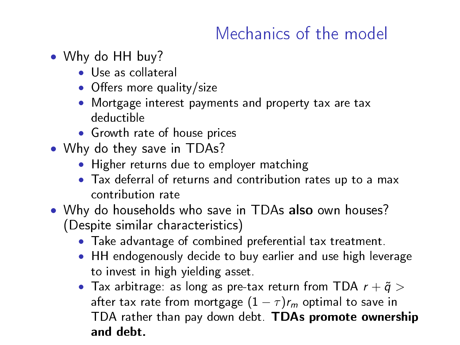## Mechanics of the model

- Why do HH buy?
	- Use as collateral
	- $\bullet$  Offers more quality/size
	- Mortgage interest payments and property tax are tax deductible
	- Growth rate of house prices
- Why do they save in TDAs?
	- Higher returns due to employer matching
	- Tax deferral of returns and contribution rates up to a max contribution rate
- Why do households who save in TDAs also own houses? (Despite similar characteristics)
	- Take advantage of combined preferential tax treatment.
	- HH endogenously decide to buy earlier and use high leverage to invest in high yielding asset.
	- Tax arbitrage: as long as pre-tax return from TDA  $r + \tilde{q} >$ after tax rate from mortgage  $(1 - \tau)r_m$  optimal to save in TDA rather than pay down debt. TDAs promote ownership and debt.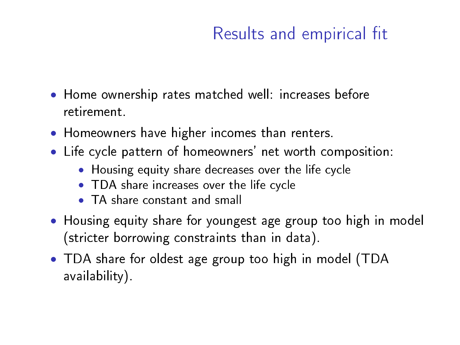## Results and empirical fit

- Home ownership rates matched well: increases before retirement.
- Homeowners have higher incomes than renters.
- Life cycle pattern of homeowners' net worth composition:
	- Housing equity share decreases over the life cycle
	- TDA share increases over the life cycle
	- TA share constant and small
- Housing equity share for youngest age group too high in model (stricter borrowing constraints than in data).
- TDA share for oldest age group too high in model (TDA availability).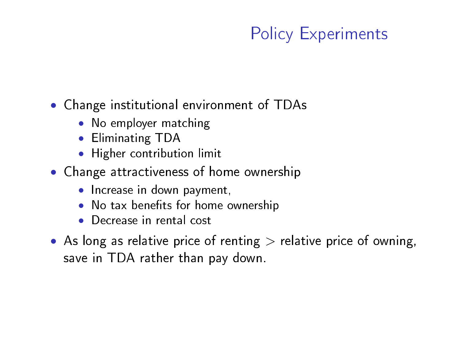# Policy Experiments

#### • Change institutional environment of TDAs

- No employer matching
- Eliminating TDA
- Higher contribution limit
- Change attractiveness of home ownership
	- Increase in down payment,
	- No tax benefits for home ownership
	- Decrease in rental cost
- As long as relative price of renting  $>$  relative price of owning, save in TDA rather than pay down.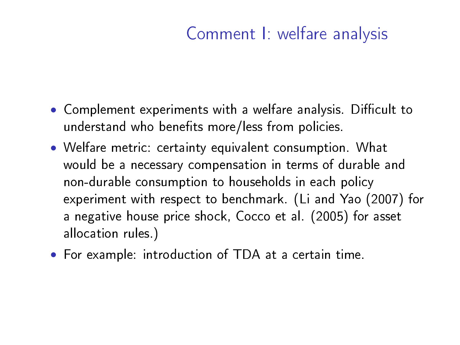## Comment I: welfare analysis

- Complement experiments with a welfare analysis. Difficult to understand who benefits more/less from policies.
- Welfare metric: certainty equivalent consumption. What would be a necessary compensation in terms of durable and non-durable consumption to households in each policy experiment with respect to benchmark. (Li and Yao (2007) for a negative house price shock, Cocco et al. (2005) for asset allocation rules.)
- For example: introduction of TDA at a certain time.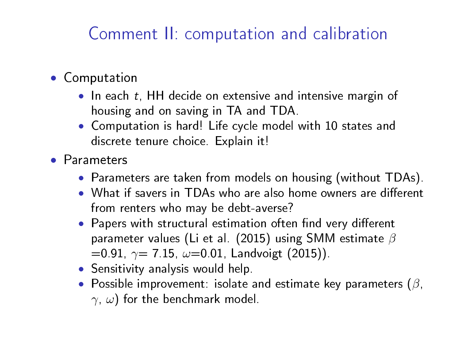### Comment II: computation and calibration

#### • Computation

- In each t, HH decide on extensive and intensive margin of housing and on saving in TA and TDA.
- Computation is hard! Life cycle model with 10 states and discrete tenure choice. Explain it!
- Parameters
	- Parameters are taken from models on housing (without TDAs).
	- What if savers in TDAs who are also home owners are different from renters who may be debt-averse?
	- Papers with structural estimation often find very different parameter values (Li et al. (2015) using SMM estimate  $\beta$  $=0.91, \gamma = 7.15, \omega = 0.01,$  Landvoigt (2015)).
	- Sensitivity analysis would help.
	- Possible improvement: isolate and estimate key parameters  $(\beta, \beta)$  $\gamma$ ,  $\omega$ ) for the benchmark model.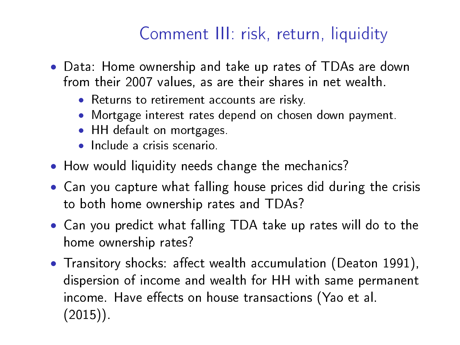# Comment III: risk, return, liquidity

- Data: Home ownership and take up rates of TDAs are down from their 2007 values, as are their shares in net wealth.
	- Returns to retirement accounts are risky.
	- Mortgage interest rates depend on chosen down payment.
	- HH default on mortgages.
	- Include a crisis scenario.
- How would liquidity needs change the mechanics?
- Can you capture what falling house prices did during the crisis to both home ownership rates and TDAs?
- Can you predict what falling TDA take up rates will do to the home ownership rates?
- Transitory shocks: affect wealth accumulation (Deaton 1991), dispersion of income and wealth for HH with same permanent income. Have effects on house transactions (Yao et al. (2015)).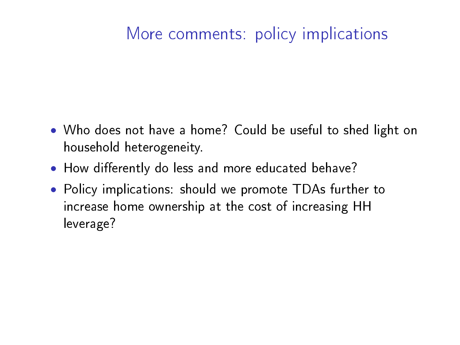### More comments: policy implications

- Who does not have a home? Could be useful to shed light on household heterogeneity.
- How differently do less and more educated behave?
- Policy implications: should we promote TDAs further to increase home ownership at the cost of increasing HH leverage?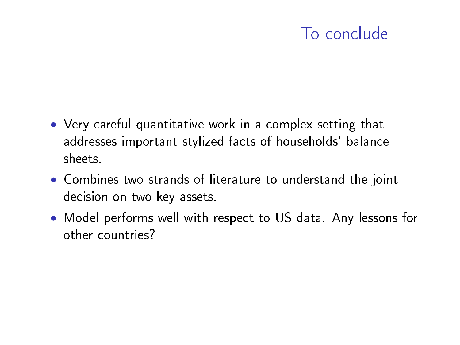### To conclude

- Very careful quantitative work in a complex setting that addresses important stylized facts of households' balance sheets.
- Combines two strands of literature to understand the joint decision on two key assets.
- Model performs well with respect to US data. Any lessons for other countries?